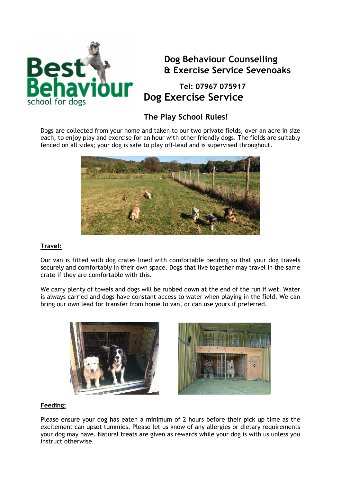

## **Dog Behaviour Counselling & Exercise Service Sevenoaks**

 **Tel: 07967 075917 Dog Exercise Service** 

## **The Play School Rules!**

Dogs are collected from your home and taken to our two private fields, over an acre in size each, to enjoy play and exercise for an hour with other friendly dogs. The fields are suitably fenced on all sides; your dog is safe to play off-lead and is supervised throughout.



### **Travel:**

Our van is fitted with dog crates lined with comfortable bedding so that your dog travels securely and comfortably in their own space. Dogs that live together may travel in the same crate if they are comfortable with this.

We carry plenty of towels and dogs will be rubbed down at the end of the run if wet. Water is always carried and dogs have constant access to water when playing in the field. We can bring our own lead for transfer from home to van, or can use yours if preferred.



#### **Feeding:**

Please ensure your dog has eaten a minimum of 2 hours before their pick up time as the excitement can upset tummies. Please let us know of any allergies or dietary requirements your dog may have. Natural treats are given as rewards while your dog is with us unless you instruct otherwise.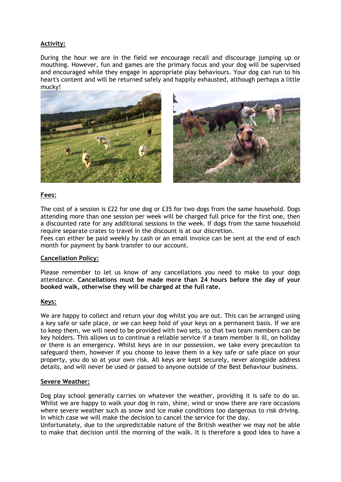### **Activity:**

During the hour we are in the field we encourage recall and discourage jumping up or mouthing. However, fun and games are the primary focus and your dog will be supervised and encouraged while they engage in appropriate play behaviours. Your dog can run to his heart's content and will be returned safely and happily exhausted, although perhaps a little mucky!



#### **Fees:**

The cost of a session is £22 for one dog or £35 for two dogs from the same household. Dogs attending more than one session per week will be charged full price for the first one, then a discounted rate for any additional sessions in the week. If dogs from the same household require separate crates to travel in the discount is at our discretion.

Fees can either be paid weekly by cash or an email invoice can be sent at the end of each month for payment by bank transfer to our account.

#### **Cancellation Policy:**

Please remember to let us know of any cancellations you need to make to your dogs attendance. **Cancellations must be made more than 24 hours before the day of your booked walk, otherwise they will be charged at the full rate.** 

#### **Keys:**

We are happy to collect and return your dog whilst you are out. This can be arranged using a key safe or safe place, or we can keep hold of your keys on a permanent basis. If we are to keep them, we will need to be provided with two sets, so that two team members can be key holders. This allows us to continue a reliable service if a team member is ill, on holiday or there is an emergency. Whilst keys are in our possession, we take every precaution to safeguard them, however if you choose to leave them in a key safe or safe place on your property, you do so at your own risk. All keys are kept securely, never alongside address details, and will never be used or passed to anyone outside of the Best Behaviour business.

#### **Severe Weather:**

Dog play school generally carries on whatever the weather, providing it is safe to do so. Whilst we are happy to walk your dog in rain, shine, wind or snow there are rare occasions where severe weather such as snow and ice make conditions too dangerous to risk driving. In which case we will make the decision to cancel the service for the day.

Unfortunately, due to the unpredictable nature of the British weather we may not be able to make that decision until the morning of the walk. It is therefore a good idea to have a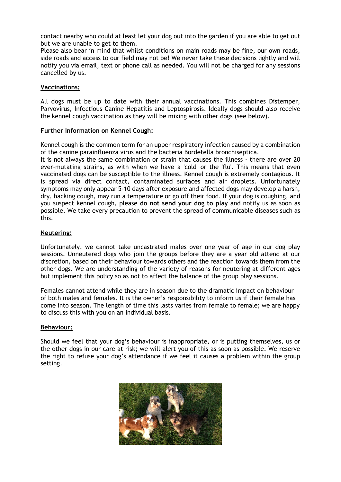contact nearby who could at least let your dog out into the garden if you are able to get out but we are unable to get to them.

Please also bear in mind that whilst conditions on main roads may be fine, our own roads, side roads and access to our field may not be! We never take these decisions lightly and will notify you via email, text or phone call as needed. You will not be charged for any sessions cancelled by us.

#### **Vaccinations:**

All dogs must be up to date with their annual vaccinations. This combines Distemper, Parvovirus, Infectious Canine Hepatitis and Leptospirosis. Ideally dogs should also receive the kennel cough vaccination as they will be mixing with other dogs (see below).

#### **Further Information on Kennel Cough:**

Kennel cough is the common term for an upper respiratory infection caused by a combination of the canine parainfluenza virus and the bacteria Bordetella bronchiseptica.

It is not always the same combination or strain that causes the illness - there are over 20 ever-mutating strains, as with when we have a 'cold' or the 'flu'. This means that even vaccinated dogs can be susceptible to the illness. Kennel cough is extremely contagious. It is spread via direct contact, contaminated surfaces and air droplets. Unfortunately symptoms may only appear 5-10 days after exposure and affected dogs may develop a harsh, dry, hacking cough, may run a temperature or go off their food. If your dog is coughing, and you suspect kennel cough, please **do not send your dog to play** and notify us as soon as possible. We take every precaution to prevent the spread of communicable diseases such as this.

#### **Neutering:**

Unfortunately, we cannot take uncastrated males over one year of age in our dog play sessions. Unneutered dogs who join the groups before they are a year old attend at our discretion, based on their behaviour towards others and the reaction towards them from the other dogs. We are understanding of the variety of reasons for neutering at different ages but implement this policy so as not to affect the balance of the group play sessions.

Females cannot attend while they are in season due to the dramatic impact on behaviour of both males and females. It is the owner's responsibility to inform us if their female has come into season. The length of time this lasts varies from female to female; we are happy to discuss this with you on an individual basis.

#### **Behaviour:**

Should we feel that your dog's behaviour is inappropriate, or is putting themselves, us or the other dogs in our care at risk; we will alert you of this as soon as possible. We reserve the right to refuse your dog's attendance if we feel it causes a problem within the group setting.